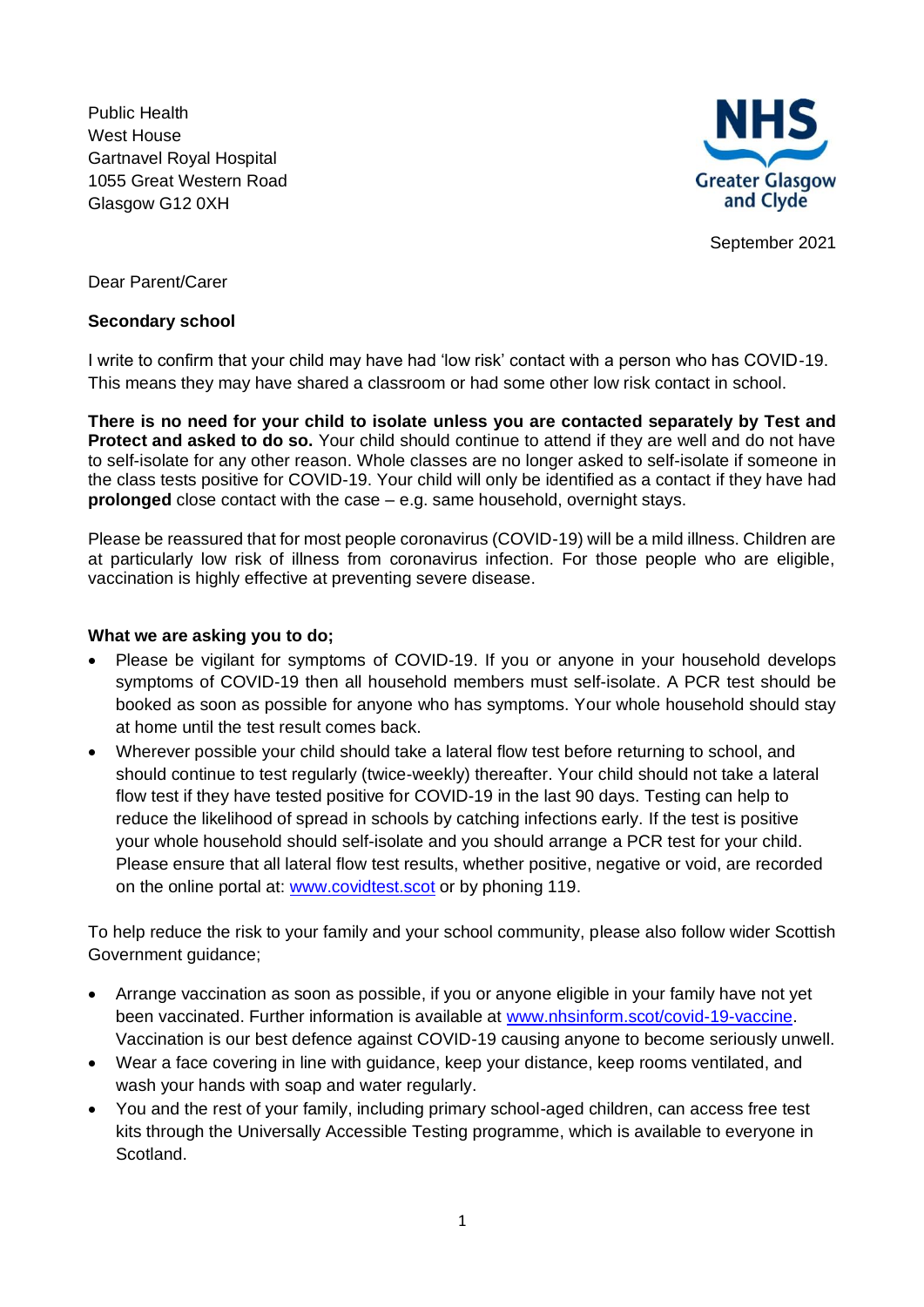Public Health West House Gartnavel Royal Hospital 1055 Great Western Road Glasgow G12 0XH



September 2021

Dear Parent/Carer

## **Secondary school**

I write to confirm that your child may have had 'low risk' contact with a person who has COVID-19. This means they may have shared a classroom or had some other low risk contact in school.

**There is no need for your child to isolate unless you are contacted separately by Test and Protect and asked to do so.** Your child should continue to attend if they are well and do not have to self-isolate for any other reason. Whole classes are no longer asked to self-isolate if someone in the class tests positive for COVID-19. Your child will only be identified as a contact if they have had **prolonged** close contact with the case – e.g. same household, overnight stays.

Please be reassured that for most people coronavirus (COVID-19) will be a mild illness. Children are at particularly low risk of illness from coronavirus infection. For those people who are eligible, vaccination is highly effective at preventing severe disease.

## **What we are asking you to do;**

- Please be vigilant for symptoms of COVID-19. If you or anyone in your household develops symptoms of COVID-19 then all household members must self-isolate. A PCR test should be booked as soon as possible for anyone who has symptoms. Your whole household should stay at home until the test result comes back.
- Wherever possible your child should take a lateral flow test before returning to school, and should continue to test regularly (twice-weekly) thereafter. Your child should not take a lateral flow test if they have tested positive for COVID-19 in the last 90 days. Testing can help to reduce the likelihood of spread in schools by catching infections early. If the test is positive your whole household should self-isolate and you should arrange a PCR test for your child. Please ensure that all lateral flow test results, whether positive, negative or void, are recorded on the online portal at: [www.covidtest.scot](http://www.covidtest.scot/) or by phoning 119.

To help reduce the risk to your family and your school community, please also follow wider Scottish Government guidance;

- Arrange vaccination as soon as possible, if you or anyone eligible in your family have not yet been vaccinated. Further information is available at [www.nhsinform.scot/covid-19-vaccine.](http://www.nhsinform.scot/covid-19-vaccine) Vaccination is our best defence against COVID-19 causing anyone to become seriously unwell.
- Wear a face covering in line with guidance, keep your distance, keep rooms ventilated, and wash your hands with soap and water regularly.
- You and the rest of your family, including primary school-aged children, can access free test kits through the Universally Accessible Testing programme, which is available to everyone in Scotland.